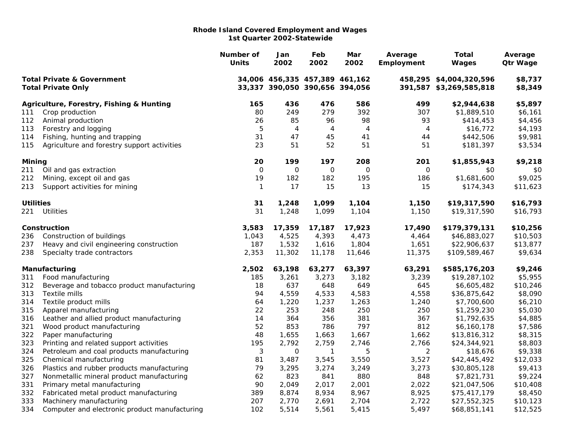|                                                                    |                                               | Number of<br><b>Units</b> | Jan<br>2002                                                      | Feb<br>2002  | Mar<br>2002 | Average<br>Employment | <b>Total</b><br>Wages                              | Average<br><b>Qtr Wage</b> |
|--------------------------------------------------------------------|-----------------------------------------------|---------------------------|------------------------------------------------------------------|--------------|-------------|-----------------------|----------------------------------------------------|----------------------------|
| <b>Total Private &amp; Government</b><br><b>Total Private Only</b> |                                               |                           | 34,006 456,335 457,389 461,162<br>33,337 390,050 390,656 394,056 |              |             |                       | 458,295 \$4,004,320,596<br>391,587 \$3,269,585,818 | \$8,737<br>\$8,349         |
|                                                                    | Agriculture, Forestry, Fishing & Hunting      | 165                       | 436                                                              | 476          | 586         | 499                   | \$2,944,638                                        | \$5,897                    |
| 111                                                                | Crop production                               | 80                        | 249                                                              | 279          | 392         | 307                   | \$1,889,510                                        | \$6,161                    |
| 112                                                                | Animal production                             | 26                        | 85                                                               | 96           | 98          | 93                    | \$414,453                                          | \$4,456                    |
| 113                                                                | Forestry and logging                          | 5                         | 4                                                                | 4            | 4           | 4                     | \$16,772                                           | \$4,193                    |
| 114                                                                | Fishing, hunting and trapping                 | 31                        | 47                                                               | 45           | 41          | 44                    | \$442,506                                          | \$9,981                    |
| 115                                                                | Agriculture and forestry support activities   | 23                        | 51                                                               | 52           | 51          | 51                    | \$181,397                                          | \$3,534                    |
| <b>Mining</b>                                                      |                                               | 20                        | 199                                                              | 197          | 208         | 201                   | \$1,855,943                                        | \$9,218                    |
| 211                                                                | Oil and gas extraction                        | $\mathsf O$               | $\mathsf O$                                                      | $\mathbf 0$  | $\mathbf 0$ | $\mathsf O$           | \$0                                                | \$0                        |
| 212                                                                | Mining, except oil and gas                    | 19                        | 182                                                              | 182          | 195         | 186                   | \$1,681,600                                        | \$9,025                    |
| 213                                                                | Support activities for mining                 | $\mathbf{1}$              | 17                                                               | 15           | 13          | 15                    | \$174,343                                          | \$11,623                   |
| <b>Utilities</b>                                                   |                                               | 31                        | 1,248                                                            | 1,099        | 1,104       | 1,150                 | \$19,317,590                                       | \$16,793                   |
| 221                                                                | <b>Utilities</b>                              | 31                        | 1,248                                                            | 1,099        | 1,104       | 1,150                 | \$19,317,590                                       | \$16,793                   |
|                                                                    | Construction                                  | 3,583                     | 17,359                                                           | 17,187       | 17,923      | 17,490                | \$179,379,131                                      | \$10,256                   |
| 236                                                                | Construction of buildings                     | 1,043                     | 4,525                                                            | 4,393        | 4,473       | 4,464                 | \$46,883,027                                       | \$10,503                   |
| 237                                                                | Heavy and civil engineering construction      | 187                       | 1,532                                                            | 1,616        | 1,804       | 1,651                 | \$22,906,637                                       | \$13,877                   |
| 238                                                                | Specialty trade contractors                   | 2,353                     | 11,302                                                           | 11,178       | 11,646      | 11,375                | \$109,589,467                                      | \$9,634                    |
|                                                                    | Manufacturing                                 | 2,502                     | 63,198                                                           | 63,277       | 63,397      | 63,291                | \$585,176,203                                      | \$9,246                    |
| 311                                                                | Food manufacturing                            | 185                       | 3,261                                                            | 3,273        | 3,182       | 3,239                 | \$19,287,102                                       | \$5,955                    |
| 312                                                                | Beverage and tobacco product manufacturing    | 18                        | 637                                                              | 648          | 649         | 645                   | \$6,605,482                                        | \$10,246                   |
| 313                                                                | Textile mills                                 | 94                        | 4,559                                                            | 4,533        | 4,583       | 4,558                 | \$36,875,642                                       | \$8,090                    |
| 314                                                                | Textile product mills                         | 64                        | 1,220                                                            | 1,237        | 1,263       | 1,240                 | \$7,700,600                                        | \$6,210                    |
| 315                                                                | Apparel manufacturing                         | 22                        | 253                                                              | 248          | 250         | 250                   | \$1,259,230                                        | \$5,030                    |
| 316                                                                | Leather and allied product manufacturing      | 14                        | 364                                                              | 356          | 381         | 367                   | \$1,792,635                                        | \$4,885                    |
| 321                                                                | Wood product manufacturing                    | 52                        | 853                                                              | 786          | 797         | 812                   | \$6,160,178                                        | \$7,586                    |
| 322                                                                | Paper manufacturing                           | 48                        | 1,655                                                            | 1,663        | 1,667       | 1,662                 | \$13,816,312                                       | \$8,315                    |
| 323                                                                | Printing and related support activities       | 195                       | 2,792                                                            | 2,759        | 2,746       | 2,766                 | \$24,344,921                                       | \$8,803                    |
| 324                                                                | Petroleum and coal products manufacturing     | 3                         | $\mathbf 0$                                                      | $\mathbf{1}$ | 5           | $\overline{2}$        | \$18,676                                           | \$9,338                    |
| 325                                                                | Chemical manufacturing                        | 81                        | 3,487                                                            | 3,545        | 3,550       | 3,527                 | \$42,445,492                                       | \$12,033                   |
| 326                                                                | Plastics and rubber products manufacturing    | 79                        | 3,295                                                            | 3,274        | 3,249       | 3,273                 | \$30,805,128                                       | \$9,413                    |
| 327                                                                | Nonmetallic mineral product manufacturing     | 62                        | 823                                                              | 841          | 880         | 848                   | \$7,821,731                                        | \$9,224                    |
| 331                                                                | Primary metal manufacturing                   | 90                        | 2,049                                                            | 2,017        | 2,001       | 2,022                 | \$21,047,506                                       | \$10,408                   |
| 332                                                                | Fabricated metal product manufacturing        | 389                       | 8,874                                                            | 8,934        | 8,967       | 8,925                 | \$75,417,179                                       | \$8,450                    |
| 333                                                                | Machinery manufacturing                       | 207                       | 2,770                                                            | 2,691        | 2,704       | 2,722                 | \$27,552,325                                       | \$10,123                   |
| 334                                                                | Computer and electronic product manufacturing | 102                       | 5,514                                                            | 5,561        | 5,415       | 5,497                 | \$68,851,141                                       | \$12,525                   |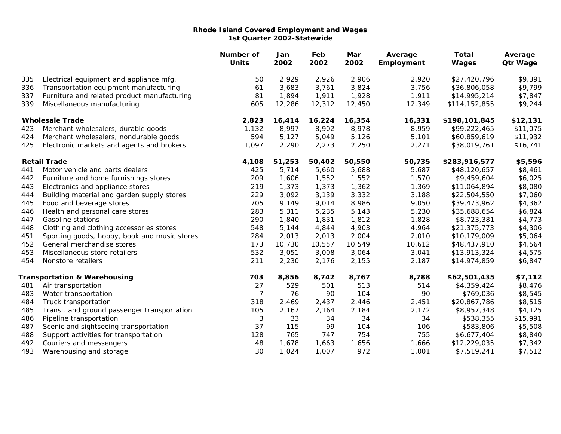|     |                                              | Number of<br><b>Units</b> | Jan<br>2002 | Feb<br>2002 | Mar<br>2002 | Average<br>Employment | <b>Total</b><br>Wages | Average<br><b>Qtr Wage</b> |
|-----|----------------------------------------------|---------------------------|-------------|-------------|-------------|-----------------------|-----------------------|----------------------------|
| 335 | Electrical equipment and appliance mfg.      | 50                        | 2,929       | 2,926       | 2,906       | 2,920                 | \$27,420,796          | \$9,391                    |
| 336 | Transportation equipment manufacturing       | 61                        | 3,683       | 3,761       | 3,824       | 3,756                 | \$36,806,058          | \$9,799                    |
| 337 | Furniture and related product manufacturing  | 81                        | 1,894       | 1,911       | 1,928       | 1,911                 | \$14,995,214          | \$7,847                    |
| 339 | Miscellaneous manufacturing                  | 605                       | 12,286      | 12,312      | 12,450      | 12,349                | \$114,152,855         | \$9,244                    |
|     | <b>Wholesale Trade</b>                       | 2,823                     | 16,414      | 16,224      | 16,354      | 16,331                | \$198,101,845         | \$12,131                   |
| 423 | Merchant wholesalers, durable goods          | 1,132                     | 8,997       | 8,902       | 8,978       | 8,959                 | \$99,222,465          | \$11,075                   |
| 424 | Merchant wholesalers, nondurable goods       | 594                       | 5,127       | 5,049       | 5,126       | 5,101                 | \$60,859,619          | \$11,932                   |
| 425 | Electronic markets and agents and brokers    | 1,097                     | 2,290       | 2,273       | 2,250       | 2,271                 | \$38,019,761          | \$16,741                   |
|     | <b>Retail Trade</b>                          | 4,108                     | 51,253      | 50,402      | 50,550      | 50,735                | \$283,916,577         | \$5,596                    |
| 441 | Motor vehicle and parts dealers              | 425                       | 5,714       | 5,660       | 5,688       | 5,687                 | \$48,120,657          | \$8,461                    |
| 442 | Furniture and home furnishings stores        | 209                       | 1,606       | 1,552       | 1,552       | 1,570                 | \$9,459,604           | \$6,025                    |
| 443 | Electronics and appliance stores             | 219                       | 1,373       | 1,373       | 1,362       | 1,369                 | \$11,064,894          | \$8,080                    |
| 444 | Building material and garden supply stores   | 229                       | 3,092       | 3,139       | 3,332       | 3,188                 | \$22,504,550          | \$7,060                    |
| 445 | Food and beverage stores                     | 705                       | 9,149       | 9,014       | 8,986       | 9,050                 | \$39,473,962          | \$4,362                    |
| 446 | Health and personal care stores              | 283                       | 5,311       | 5,235       | 5,143       | 5,230                 | \$35,688,654          | \$6,824                    |
| 447 | Gasoline stations                            | 290                       | 1,840       | 1,831       | 1,812       | 1,828                 | \$8,723,381           | \$4,773                    |
| 448 | Clothing and clothing accessories stores     | 548                       | 5,144       | 4,844       | 4,903       | 4,964                 | \$21,375,773          | \$4,306                    |
| 451 | Sporting goods, hobby, book and music stores | 284                       | 2,013       | 2,013       | 2,004       | 2,010                 | \$10,179,009          | \$5,064                    |
| 452 | General merchandise stores                   | 173                       | 10,730      | 10,557      | 10,549      | 10,612                | \$48,437,910          | \$4,564                    |
| 453 | Miscellaneous store retailers                | 532                       | 3,051       | 3,008       | 3,064       | 3,041                 | \$13,913,324          | \$4,575                    |
| 454 | Nonstore retailers                           | 211                       | 2,230       | 2,176       | 2,155       | 2,187                 | \$14,974,859          | \$6,847                    |
|     | <b>Transportation &amp; Warehousing</b>      | 703                       | 8,856       | 8,742       | 8,767       | 8,788                 | \$62,501,435          | \$7,112                    |
| 481 | Air transportation                           | 27                        | 529         | 501         | 513         | 514                   | \$4,359,424           | \$8,476                    |
| 483 | Water transportation                         | 7                         | 76          | 90          | 104         | 90                    | \$769,036             | \$8,545                    |
| 484 | Truck transportation                         | 318                       | 2,469       | 2,437       | 2,446       | 2,451                 | \$20,867,786          | \$8,515                    |
| 485 | Transit and ground passenger transportation  | 105                       | 2,167       | 2,164       | 2,184       | 2,172                 | \$8,957,348           | \$4,125                    |
| 486 | Pipeline transportation                      | 3                         | 33          | 34          | 34          | 34                    | \$538,355             | \$15,991                   |
| 487 | Scenic and sightseeing transportation        | 37                        | 115         | 99          | 104         | 106                   | \$583,806             | \$5,508                    |
| 488 | Support activities for transportation        | 128                       | 765         | 747         | 754         | 755                   | \$6,677,404           | \$8,840                    |
| 492 | Couriers and messengers                      | 48                        | 1,678       | 1,663       | 1,656       | 1,666                 | \$12,229,035          | \$7,342                    |
| 493 | Warehousing and storage                      | 30                        | 1,024       | 1,007       | 972         | 1,001                 | \$7,519,241           | \$7,512                    |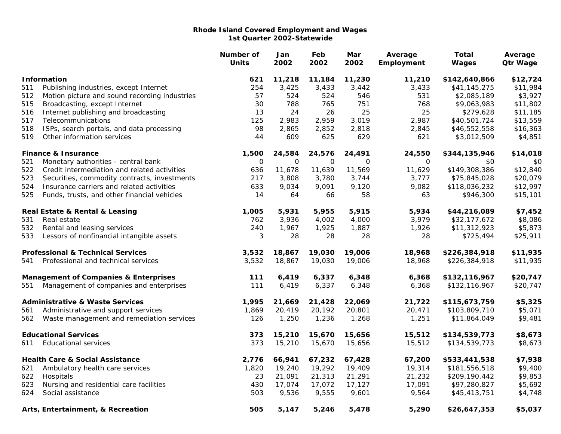|                                                  |                                               | Number of<br><b>Units</b> | Jan<br>2002  | Feb<br>2002  | Mar<br>2002 | Average<br>Employment | <b>Total</b><br>Wages | Average<br><b>Qtr Wage</b> |
|--------------------------------------------------|-----------------------------------------------|---------------------------|--------------|--------------|-------------|-----------------------|-----------------------|----------------------------|
|                                                  | <b>Information</b>                            | 621                       | 11,218       | 11,184       | 11,230      | 11,210                | \$142,640,866         | \$12,724                   |
| 511                                              | Publishing industries, except Internet        | 254                       | 3,425        | 3,433        | 3,442       | 3,433                 | \$41,145,275          | \$11,984                   |
| 512                                              | Motion picture and sound recording industries | 57                        | 524          | 524          | 546         | 531                   | \$2,085,189           | \$3,927                    |
| 515                                              | Broadcasting, except Internet                 | 30                        | 788          | 765          | 751         | 768                   | \$9,063,983           | \$11,802                   |
| 516                                              | Internet publishing and broadcasting          | 13                        | 24           | 26           | 25          | 25                    | \$279,628             | \$11,185                   |
| 517                                              | Telecommunications                            | 125                       | 2,983        | 2,959        | 3,019       | 2,987                 | \$40,501,724          | \$13,559                   |
| 518                                              | ISPs, search portals, and data processing     | 98                        | 2,865        | 2,852        | 2,818       | 2,845                 | \$46,552,558          | \$16,363                   |
| 519                                              | Other information services                    | 44                        | 609          | 625          | 629         | 621                   | \$3,012,509           | \$4,851                    |
|                                                  | <b>Finance &amp; Insurance</b>                | 1,500                     | 24,584       | 24,576       | 24,491      | 24,550                | \$344,135,946         | \$14,018                   |
| 521                                              | Monetary authorities - central bank           | $\mathbf 0$               | $\mathsf{O}$ | $\mathsf{O}$ | $\mathbf 0$ | $\mathbf 0$           | \$0                   | \$0                        |
| 522                                              | Credit intermediation and related activities  | 636                       | 11,678       | 11,639       | 11,569      | 11,629                | \$149,308,386         | \$12,840                   |
| 523                                              | Securities, commodity contracts, investments  | 217                       | 3,808        | 3,780        | 3,744       | 3,777                 | \$75,845,028          | \$20,079                   |
| 524                                              | Insurance carriers and related activities     | 633                       | 9,034        | 9,091        | 9,120       | 9,082                 | \$118,036,232         | \$12,997                   |
| 525                                              | Funds, trusts, and other financial vehicles   | 14                        | 64           | 66           | 58          | 63                    | \$946,300             | \$15,101                   |
|                                                  | Real Estate & Rental & Leasing                | 1,005                     | 5,931        | 5,955        | 5,915       | 5,934                 | \$44,216,089          | \$7,452                    |
| 531                                              | Real estate                                   | 762                       | 3,936        | 4,002        | 4,000       | 3,979                 | \$32,177,672          | \$8,086                    |
| 532                                              | Rental and leasing services                   | 240                       | 1,967        | 1,925        | 1,887       | 1,926                 | \$11,312,923          | \$5,873                    |
| 533                                              | Lessors of nonfinancial intangible assets     | 3                         | 28           | 28           | 28          | 28                    | \$725,494             | \$25,911                   |
|                                                  | <b>Professional &amp; Technical Services</b>  | 3,532                     | 18,867       | 19,030       | 19,006      | 18,968                | \$226,384,918         | \$11,935                   |
| 541                                              | Professional and technical services           | 3,532                     | 18,867       | 19,030       | 19,006      | 18,968                | \$226,384,918         | \$11,935                   |
| <b>Management of Companies &amp; Enterprises</b> |                                               | 111                       | 6,419        | 6,337        | 6,348       | 6,368                 | \$132,116,967         | \$20,747                   |
| 551                                              | Management of companies and enterprises       | 111                       | 6,419        | 6,337        | 6,348       | 6,368                 | \$132,116,967         | \$20,747                   |
|                                                  | <b>Administrative &amp; Waste Services</b>    | 1,995                     | 21,669       | 21,428       | 22,069      | 21,722                | \$115,673,759         | \$5,325                    |
| 561                                              | Administrative and support services           | 1,869                     | 20,419       | 20,192       | 20,801      | 20,471                | \$103,809,710         | \$5,071                    |
| 562                                              | Waste management and remediation services     | 126                       | 1,250        | 1,236        | 1,268       | 1,251                 | \$11,864,049          | \$9,481                    |
|                                                  | <b>Educational Services</b>                   | 373                       | 15,210       | 15,670       | 15,656      | 15,512                | \$134,539,773         | \$8,673                    |
| 611                                              | <b>Educational services</b>                   | 373                       | 15,210       | 15,670       | 15,656      | 15,512                | \$134,539,773         | \$8,673                    |
|                                                  | <b>Health Care &amp; Social Assistance</b>    | 2,776                     | 66,941       | 67,232       | 67,428      | 67,200                | \$533,441,538         | \$7,938                    |
| 621                                              | Ambulatory health care services               | 1,820                     | 19,240       | 19,292       | 19,409      | 19,314                | \$181,556,518         | \$9,400                    |
| 622                                              | Hospitals                                     | 23                        | 21,091       | 21,313       | 21,291      | 21,232                | \$209,190,442         | \$9,853                    |
| 623                                              | Nursing and residential care facilities       | 430                       | 17,074       | 17,072       | 17,127      | 17,091                | \$97,280,827          | \$5,692                    |
| 624                                              | Social assistance                             | 503                       | 9,536        | 9,555        | 9,601       | 9,564                 | \$45,413,751          | \$4,748                    |
|                                                  | Arts, Entertainment, & Recreation             | 505                       | 5,147        | 5,246        | 5,478       | 5,290                 | \$26,647,353          | \$5,037                    |